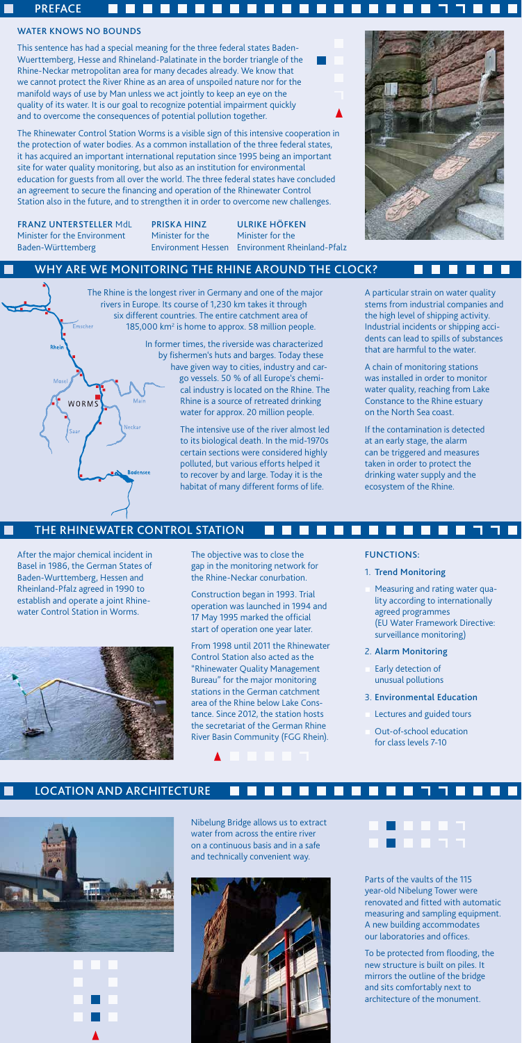#### WATER KNOWS NO BOUNDS

**PREFACE** 

This sentence has had a special meaning for the three federal states Baden-Wuerttemberg, Hesse and Rhineland-Palatinate in the border triangle of the Rhine-Neckar metropolitan area for many decades already. We know that we cannot protect the River Rhine as an area of unspoiled nature nor for the manifold ways of use by Man unless we act jointly to keep an eye on the quality of its water. It is our goal to recognize potential impairment quickly and to overcome the consequences of potential pollution together.

**ITT** 

The Rhine is the longest river in Germany and one of the major rivers in Europe. Its course of 1,230 km takes it through six different countries. The entire catchment area of Emsche 185,000 km<sup>2</sup> is home to approx. 58 million people.

The Rhinewater Control Station Worms is a visible sign of this intensive cooperation in the protection of water bodies. As a common installation of the three federal states, it has acquired an important international reputation since 1995 being an important site for water quality monitoring, but also as an institution for environmental education for guests from all over the world. The three federal states have concluded an agreement to secure the financing and operation of the Rhinewater Control Station also in the future, and to strengthen it in order to overcome new challenges.

 $\Box$ 

- Measuring and rating water quality according to internationally agreed programmes (EU Water Framework Directive: surveillance monitoring)
- 2. Alarm Monitoring
- Early detection of unusual pollutions
- 3. Environmental Education
- Lectures and guided tours
- Out-of-school education for class levels 7-10

In former times, the riverside was characterized by fishermen's huts and barges. Today these have given way to cities, industry and cargo vessels. 50 % of all Europe's chemical industry is located on the Rhine. The Rhine is a source of retreated drinking water for approx. 20 million people.

> The intensive use of the river almost led to its biological death. In the mid-1970s certain sections were considered highly polluted, but various efforts helped it to recover by and large. Today it is the habitat of many different forms of life.

After the major chemical incident in Basel in 1986, the German States of Baden-Wurttemberg, Hessen and Rheinland-Pfalz agreed in 1990 to establish and operate a joint Rhinewater Control Station in Worms.



#### FUNCTIONS:

#### 1. Trend Monitoring

Nibelung Bridge allows us to extract water from across the entire river on a continuous basis and in a safe and technically convenient way.



## 8 8 8 8 7

A particular strain on water quality stems from industrial companies and the high level of shipping activity. Industrial incidents or shipping accidents can lead to spills of substances that are harmful to the water.

A chain of monitoring stations was installed in order to monitor water quality, reaching from Lake Constance to the Rhine estuary on the North Sea coast.

If the contamination is detected at an early stage, the alarm can be triggered and measures taken in order to protect the drinking water supply and the ecosystem of the Rhine.

#### Location and Architecture





#### The Rhinewater Control Station

**Bodensee** 

Mair

#### Why are we monitoring the Rhine around the clock?

The objective was to close the gap in the monitoring network for the Rhine-Neckar conurbation.

Construction began in 1993. Trial operation was launched in 1994 and 17 May 1995 marked the official start of operation one year later.

From 1998 until 2011 the Rhinewater Control Station also acted as the "Rhinewater Quality Management Bureau" for the major monitoring stations in the German catchment area of the Rhine below Lake Constance. Since 2012, the station hosts the secretariat of the German Rhine River Basin Community (FGG Rhein).

> Parts of the vaults of the 115 year-old Nibelung Tower were renovated and fitted with automatic measuring and sampling equipment. A new building accommodates our laboratories and offices.

To be protected from flooding, the new structure is built on piles. It mirrors the outline of the bridge and sits comfortably next to architecture of the monument.

Franz Untersteller MdL Priska Hinz Ulrike Höfken Minister for the Environment Minister for the Minister for the Baden-Württemberg Environment Hessen Environment Rheinland-Pfalz

Rheir

WORMS